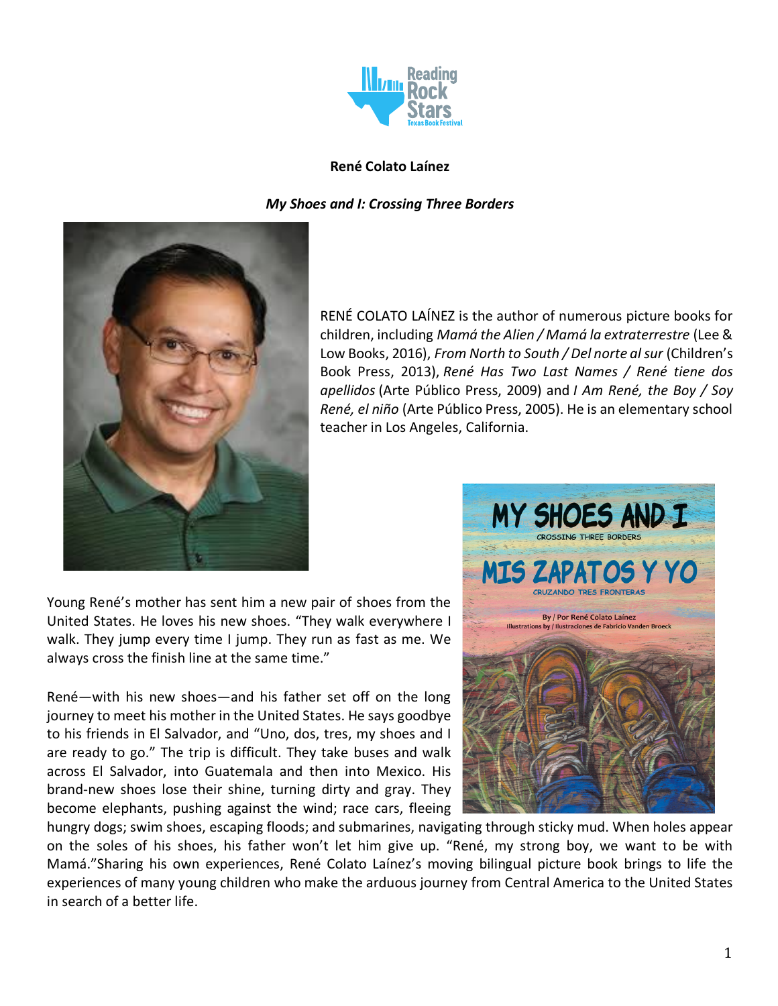

### **René Colato Laínez**

*My Shoes and I: Crossing Three Borders*



RENÉ COLATO LAÍNEZ is the author of numerous picture books for children, including *Mamá the Alien / Mamá la extraterrestre* (Lee & Low Books, 2016), *From North to South / Del norte al sur* (Children's Book Press, 2013), *René Has Two Last Names / René tiene dos apellidos* (Arte Público Press, 2009) and *I Am René, the Boy / Soy René, el niño* (Arte Público Press, 2005). He is an elementary school teacher in Los Angeles, California.

Young René's mother has sent him a new pair of shoes from the United States. He loves his new shoes. "They walk everywhere I walk. They jump every time I jump. They run as fast as me. We always cross the finish line at the same time."

René—with his new shoes—and his father set off on the long journey to meet his mother in the United States. He says goodbye to his friends in El Salvador, and "Uno, dos, tres, my shoes and I are ready to go." The trip is difficult. They take buses and walk across El Salvador, into Guatemala and then into Mexico. His brand-new shoes lose their shine, turning dirty and gray. They become elephants, pushing against the wind; race cars, fleeing



hungry dogs; swim shoes, escaping floods; and submarines, navigating through sticky mud. When holes appear on the soles of his shoes, his father won't let him give up. "René, my strong boy, we want to be with Mamá."Sharing his own experiences, René Colato Laínez's moving bilingual picture book brings to life the experiences of many young children who make the arduous journey from Central America to the United States in search of a better life.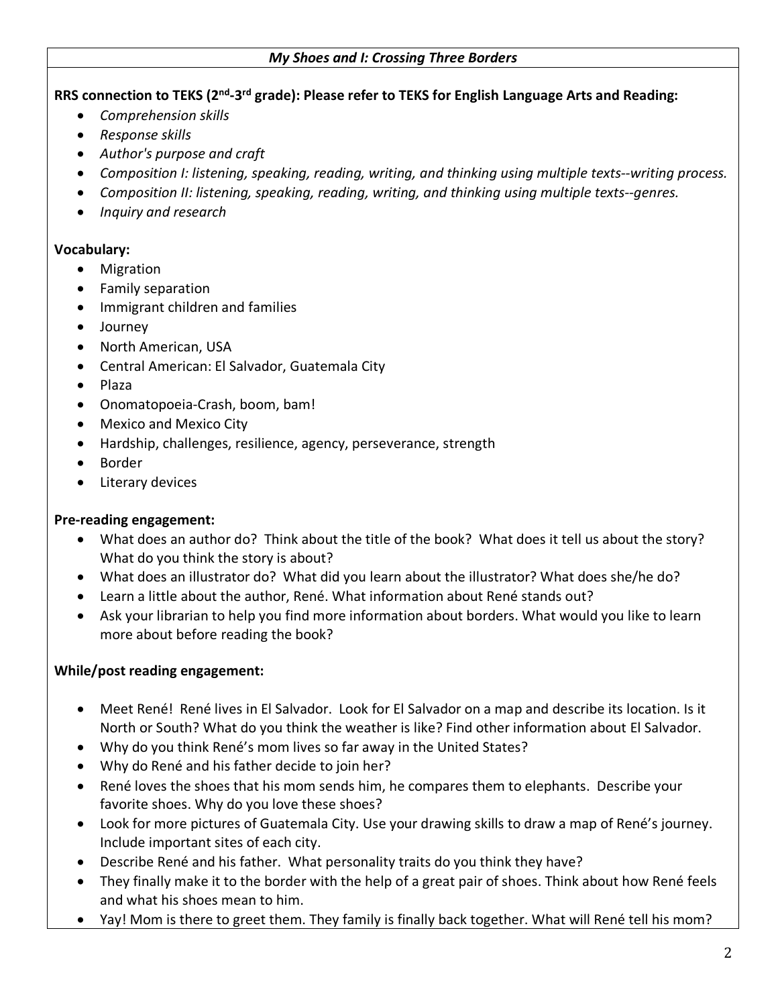#### *My Shoes and I: Crossing Three Borders*

#### **RRS connection to TEKS (2nd-3rd grade): Please refer to TEKS for English Language Arts and Reading:**

- *Comprehension skills*
- *Response skills*
- *Author's purpose and craft*
- *Composition I: listening, speaking, reading, writing, and thinking using multiple texts--writing process.*
- *Composition II: listening, speaking, reading, writing, and thinking using multiple texts--genres.*
- *Inquiry and research*

### **Vocabulary:**

- Migration
- Family separation
- Immigrant children and families
- Journey
- North American, USA
- Central American: El Salvador, Guatemala City
- Plaza
- Onomatopoeia-Crash, boom, bam!
- Mexico and Mexico City
- Hardship, challenges, resilience, agency, perseverance, strength
- Border
- Literary devices

## **Pre-reading engagement:**

- What does an author do? Think about the title of the book? What does it tell us about the story? What do you think the story is about?
- What does an illustrator do? What did you learn about the illustrator? What does she/he do?
- Learn a little about the author, René. What information about René stands out?
- Ask your librarian to help you find more information about borders. What would you like to learn more about before reading the book?

# **While/post reading engagement:**

- Meet René! René lives in El Salvador. Look for El Salvador on a map and describe its location. Is it North or South? What do you think the weather is like? Find other information about El Salvador.
- Why do you think René's mom lives so far away in the United States?
- Why do René and his father decide to join her?
- René loves the shoes that his mom sends him, he compares them to elephants. Describe your favorite shoes. Why do you love these shoes?
- Look for more pictures of Guatemala City. Use your drawing skills to draw a map of René's journey. Include important sites of each city.
- Describe René and his father. What personality traits do you think they have?
- They finally make it to the border with the help of a great pair of shoes. Think about how René feels and what his shoes mean to him.
- Yay! Mom is there to greet them. They family is finally back together. What will René tell his mom?